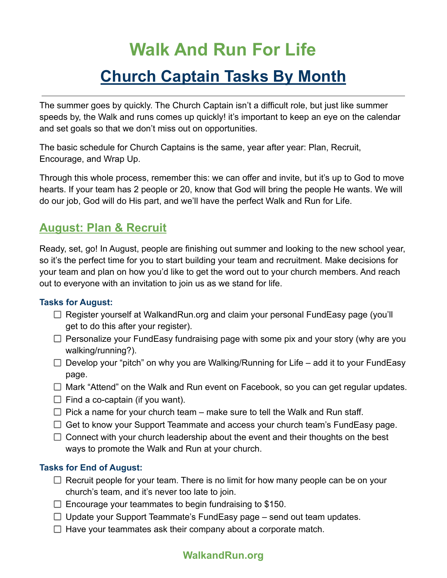# **Walk And Run For Life**

# **Church Captain Tasks By Month**

The summer goes by quickly. The Church Captain isn't a difficult role, but just like summer speeds by, the Walk and runs comes up quickly! it's important to keep an eye on the calendar and set goals so that we don't miss out on opportunities.

The basic schedule for Church Captains is the same, year after year: Plan, Recruit, Encourage, and Wrap Up.

Through this whole process, remember this: we can offer and invite, but it's up to God to move hearts. If your team has 2 people or 20, know that God will bring the people He wants. We will do our job, God will do His part, and we'll have the perfect Walk and Run for Life.

## **August: Plan & Recruit**

Ready, set, go! In August, people are finishing out summer and looking to the new school year, so it's the perfect time for you to start building your team and recruitment. Make decisions for your team and plan on how you'd like to get the word out to your church members. And reach out to everyone with an invitation to join us as we stand for life.

## **Tasks for August:**

- □ Register yourself at WalkandRun.org and claim your personal FundEasy page (you'll get to do this after your register).
- $\Box$  Personalize your FundEasy fundraising page with some pix and your story (why are you walking/running?).
- $\Box$  Develop your "pitch" on why you are Walking/Running for Life add it to your FundEasy page.
- $\Box$  Mark "Attend" on the Walk and Run event on Facebook, so you can get regular updates.
- $\Box$  Find a co-captain (if you want).
- $\Box$  Pick a name for your church team make sure to tell the Walk and Run staff.
- $\Box$  Get to know your Support Teammate and access your church team's FundEasy page.
- $\Box$  Connect with your church leadership about the event and their thoughts on the best ways to promote the Walk and Run at your church.

## **Tasks for End of August:**

- $\Box$  Recruit people for your team. There is no limit for how many people can be on your church's team, and it's never too late to join.
- $\Box$  Encourage your teammates to begin fundraising to \$150.
- $\Box$  Update your Support Teammate's FundEasy page send out team updates.
- $\Box$  Have your teammates ask their company about a corporate match.

## **WalkandRun.org**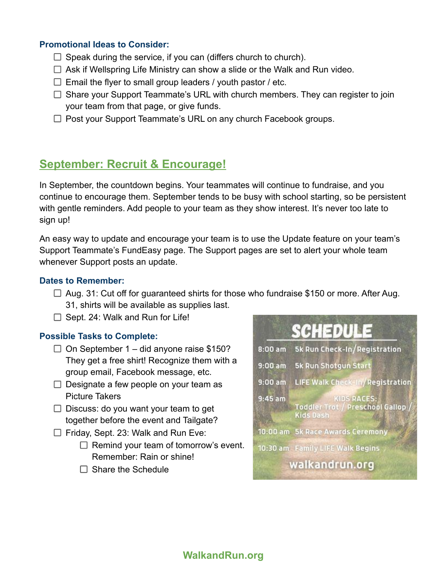### **Promotional Ideas to Consider:**

- $\Box$  Speak during the service, if you can (differs church to church).
- $\Box$  Ask if Wellspring Life Ministry can show a slide or the Walk and Run video.
- $\Box$  Email the flyer to small group leaders / youth pastor / etc.
- $\Box$  Share your Support Teammate's URL with church members. They can register to join your team from that page, or give funds.
- $\Box$  Post your Support Teammate's URL on any church Facebook groups.

## **September: Recruit & Encourage!**

In September, the countdown begins. Your teammates will continue to fundraise, and you continue to encourage them. September tends to be busy with school starting, so be persistent with gentle reminders. Add people to your team as they show interest. It's never too late to sign up!

An easy way to update and encourage your team is to use the Update feature on your team's Support Teammate's FundEasy page. The Support pages are set to alert your whole team whenever Support posts an update.

#### **Dates to Remember:**

- $\Box$  Aug. 31: Cut off for guaranteed shirts for those who fundraise \$150 or more. After Aug. 31, shirts will be available as supplies last.
- $\Box$  Sept. 24: Walk and Run for Life!

#### **Possible Tasks to Complete:**

- $\Box$  On September 1 did anyone raise \$150? They get a free shirt! Recognize them with a group email, Facebook message, etc.
- $\Box$  Designate a few people on your team as Picture Takers
- $\Box$  Discuss: do you want your team to get together before the event and Tailgate?
- $\Box$  Friday, Sept. 23: Walk and Run Eve:
	- $\Box$  Remind your team of tomorrow's event. Remember: Rain or shine!
	- $\Box$  Share the Schedule



## **WalkandRun.org**